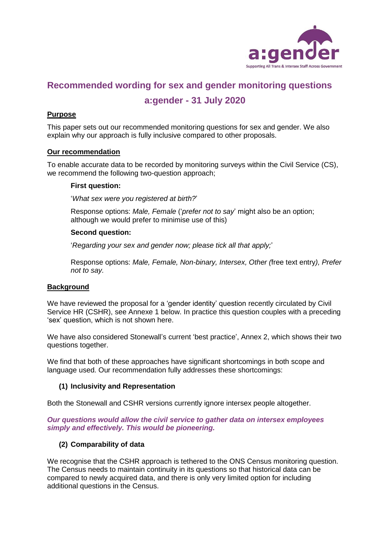

# **Recommended wording for sex and gender monitoring questions**

# **a:gender - 31 July 2020**

# **Purpose**

This paper sets out our recommended monitoring questions for sex and gender. We also explain why our approach is fully inclusive compared to other proposals.

#### **Our recommendation**

To enable accurate data to be recorded by monitoring surveys within the Civil Service (CS), we recommend the following two-question approach;

#### **First question:**

'*What sex were you registered at birth?*'

Response options: *Male, Female* ('*prefer not to say*' might also be an option; although we would prefer to minimise use of this)

#### **Second question:**

'*Regarding your sex and gender now; please tick all that apply;*'

Response options: *Male, Female, Non-binary, Intersex, Other (*free text entry*), Prefer not to say.*

## **Background**

We have reviewed the proposal for a 'gender identity' question recently circulated by Civil Service HR (CSHR), see Annexe 1 below. In practice this question couples with a preceding 'sex' question, which is not shown here.

We have also considered Stonewall's current 'best practice', Annex 2, which shows their two questions together.

We find that both of these approaches have significant shortcomings in both scope and language used. Our recommendation fully addresses these shortcomings:

#### **(1) Inclusivity and Representation**

Both the Stonewall and CSHR versions currently ignore intersex people altogether.

#### *Our questions would allow the civil service to gather data on intersex employees simply and effectively. This would be pioneering.*

#### **(2) Comparability of data**

We recognise that the CSHR approach is tethered to the ONS Census monitoring question. The Census needs to maintain continuity in its questions so that historical data can be compared to newly acquired data, and there is only very limited option for including additional questions in the Census.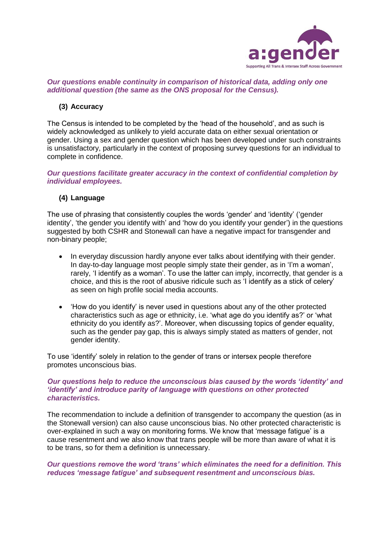

## *Our questions enable continuity in comparison of historical data, adding only one additional question (the same as the ONS proposal for the Census).*

## **(3) Accuracy**

The Census is intended to be completed by the 'head of the household', and as such is widely acknowledged as unlikely to yield accurate data on either sexual orientation or gender. Using a sex and gender question which has been developed under such constraints is unsatisfactory, particularly in the context of proposing survey questions for an individual to complete in confidence.

*Our questions facilitate greater accuracy in the context of confidential completion by individual employees.*

#### **(4) Language**

The use of phrasing that consistently couples the words 'gender' and 'identity' ('gender identity', 'the gender you identify with' and 'how do you identify your gender') in the questions suggested by both CSHR and Stonewall can have a negative impact for transgender and non-binary people;

- In everyday discussion hardly anyone ever talks about identifying with their gender. In day-to-day language most people simply state their gender, as in 'I'm a woman', rarely, 'I identify as a woman'. To use the latter can imply, incorrectly, that gender is a choice, and this is the root of abusive ridicule such as 'I identify as a stick of celery' as seen on high profile social media accounts.
- 'How do you identify' is never used in questions about any of the other protected characteristics such as age or ethnicity, i.e. 'what age do you identify as?' or 'what ethnicity do you identify as?'. Moreover, when discussing topics of gender equality, such as the gender pay gap, this is always simply stated as matters of gender, not gender identity.

To use 'identify' solely in relation to the gender of trans or intersex people therefore promotes unconscious bias.

#### *Our questions help to reduce the unconscious bias caused by the words 'identity' and 'identify' and introduce parity of language with questions on other protected characteristics.*

The recommendation to include a definition of transgender to accompany the question (as in the Stonewall version) can also cause unconscious bias. No other protected characteristic is over-explained in such a way on monitoring forms. We know that 'message fatigue' is a cause resentment and we also know that trans people will be more than aware of what it is to be trans, so for them a definition is unnecessary.

#### *Our questions remove the word 'trans' which eliminates the need for a definition. This reduces 'message fatigue' and subsequent resentment and unconscious bias.*